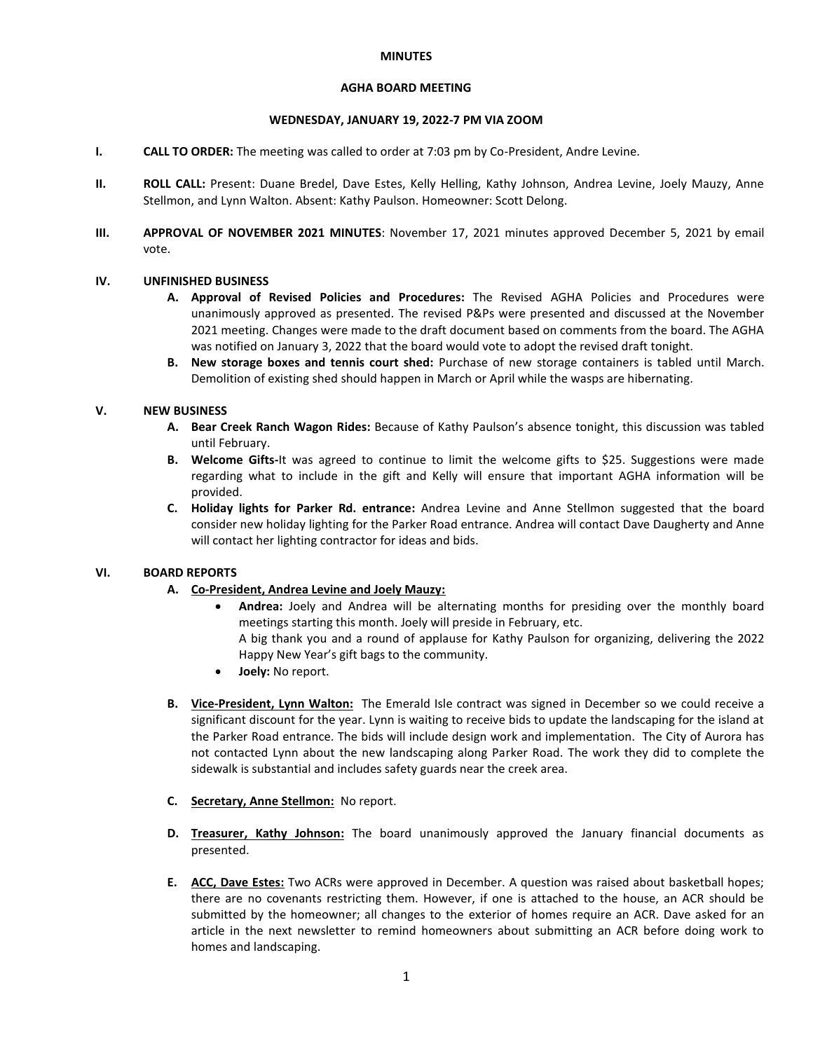### **MINUTES**

## **AGHA BOARD MEETING**

### **WEDNESDAY, JANUARY 19, 2022-7 PM VIA ZOOM**

- **I. CALL TO ORDER:** The meeting was called to order at 7:03 pm by Co-President, Andre Levine.
- **II. ROLL CALL:** Present: Duane Bredel, Dave Estes, Kelly Helling, Kathy Johnson, Andrea Levine, Joely Mauzy, Anne Stellmon, and Lynn Walton. Absent: Kathy Paulson. Homeowner: Scott Delong.
- **III. APPROVAL OF NOVEMBER 2021 MINUTES**: November 17, 2021 minutes approved December 5, 2021 by email vote.

### **IV. UNFINISHED BUSINESS**

- **A. Approval of Revised Policies and Procedures:** The Revised AGHA Policies and Procedures were unanimously approved as presented. The revised P&Ps were presented and discussed at the November 2021 meeting. Changes were made to the draft document based on comments from the board. The AGHA was notified on January 3, 2022 that the board would vote to adopt the revised draft tonight.
- **B. New storage boxes and tennis court shed:** Purchase of new storage containers is tabled until March. Demolition of existing shed should happen in March or April while the wasps are hibernating.

## **V. NEW BUSINESS**

- **A. Bear Creek Ranch Wagon Rides:** Because of Kathy Paulson's absence tonight, this discussion was tabled until February.
- **B. Welcome Gifts-**It was agreed to continue to limit the welcome gifts to \$25. Suggestions were made regarding what to include in the gift and Kelly will ensure that important AGHA information will be provided.
- **C. Holiday lights for Parker Rd. entrance:** Andrea Levine and Anne Stellmon suggested that the board consider new holiday lighting for the Parker Road entrance. Andrea will contact Dave Daugherty and Anne will contact her lighting contractor for ideas and bids.

# **VI. BOARD REPORTS**

# **A. Co-President, Andrea Levine and Joely Mauzy:**

- **Andrea:** Joely and Andrea will be alternating months for presiding over the monthly board meetings starting this month. Joely will preside in February, etc. A big thank you and a round of applause for Kathy Paulson for organizing, delivering the 2022 Happy New Year's gift bags to the community.
- **Joely:** No report.
- **B. Vice-President, Lynn Walton:** The Emerald Isle contract was signed in December so we could receive a significant discount for the year. Lynn is waiting to receive bids to update the landscaping for the island at the Parker Road entrance. The bids will include design work and implementation. The City of Aurora has not contacted Lynn about the new landscaping along Parker Road. The work they did to complete the sidewalk is substantial and includes safety guards near the creek area.
- **C. Secretary, Anne Stellmon:** No report.
- **D. Treasurer, Kathy Johnson:** The board unanimously approved the January financial documents as presented.
- **E. ACC, Dave Estes:** Two ACRs were approved in December. A question was raised about basketball hopes; there are no covenants restricting them. However, if one is attached to the house, an ACR should be submitted by the homeowner; all changes to the exterior of homes require an ACR. Dave asked for an article in the next newsletter to remind homeowners about submitting an ACR before doing work to homes and landscaping.